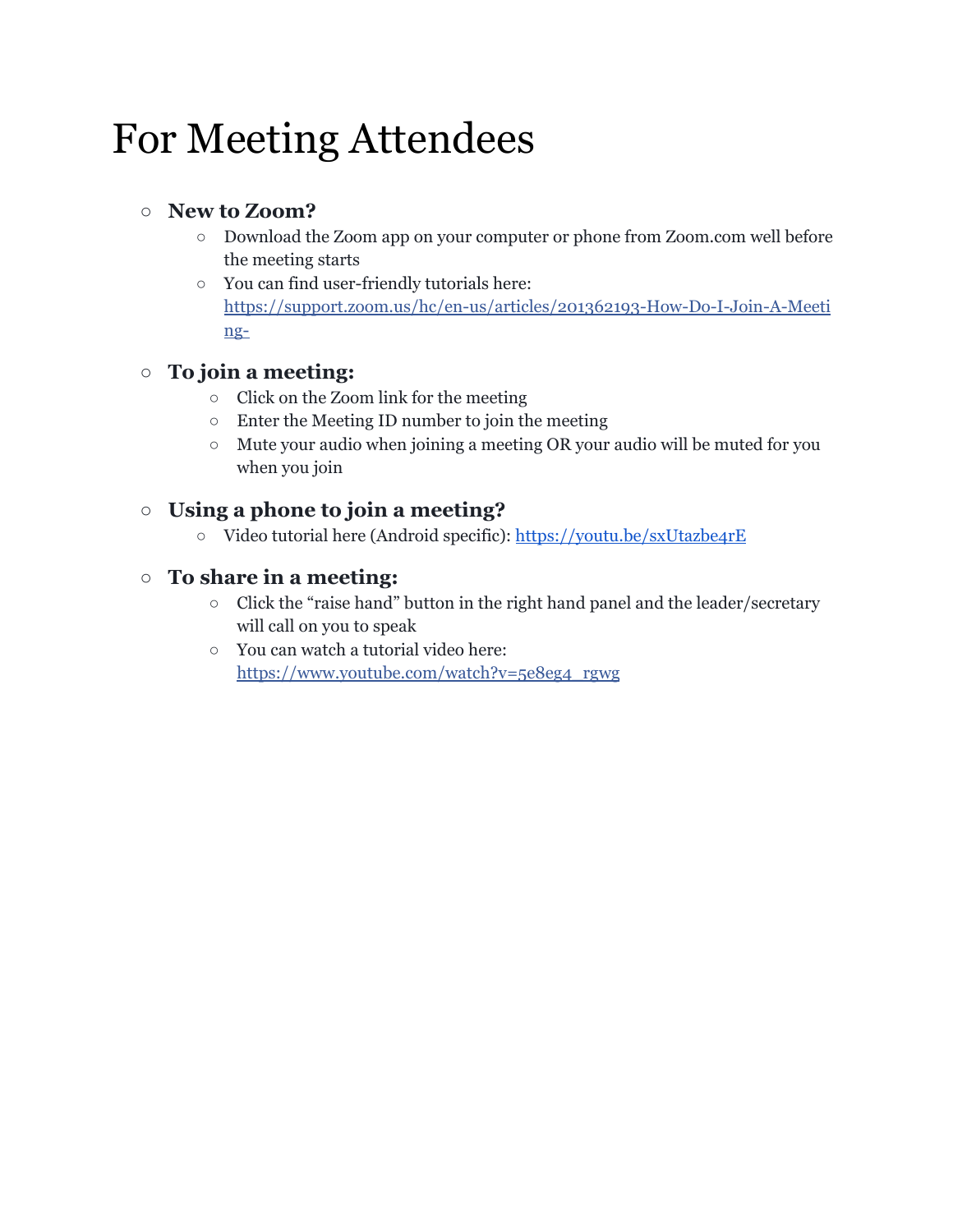## For Meeting Attendees

#### **○ New to Zoom?**

- Download the Zoom app on your computer or phone from Zoom.com well before the meeting starts
- You can find user-friendly tutorials here: [https://support.zoom.us/hc/en-us/articles/201362193-How-Do-I-Join-A-Meeti](https://support.zoom.us/hc/en-us/articles/201362193-How-Do-I-Join-A-Meeting-) [ng-](https://support.zoom.us/hc/en-us/articles/201362193-How-Do-I-Join-A-Meeting-)

### **○ To join a meeting:**

- Click on the Zoom link for the meeting
- Enter the Meeting ID number to join the meeting
- Mute your audio when joining a meeting OR your audio will be muted for you when you join

### **○ Using a phone to join a meeting?**

○ Video tutorial here (Android specific): <https://youtu.be/sxUtazbe4rE>

### ○ **To share in a meeting:**

- Click the "raise hand" button in the right hand panel and the leader/secretary will call on you to speak
- You can watch a tutorial video here: [https://www.youtube.com/watch?v=5e8eg4\\_rgwg](https://www.youtube.com/watch?v=5e8eg4_rgwg)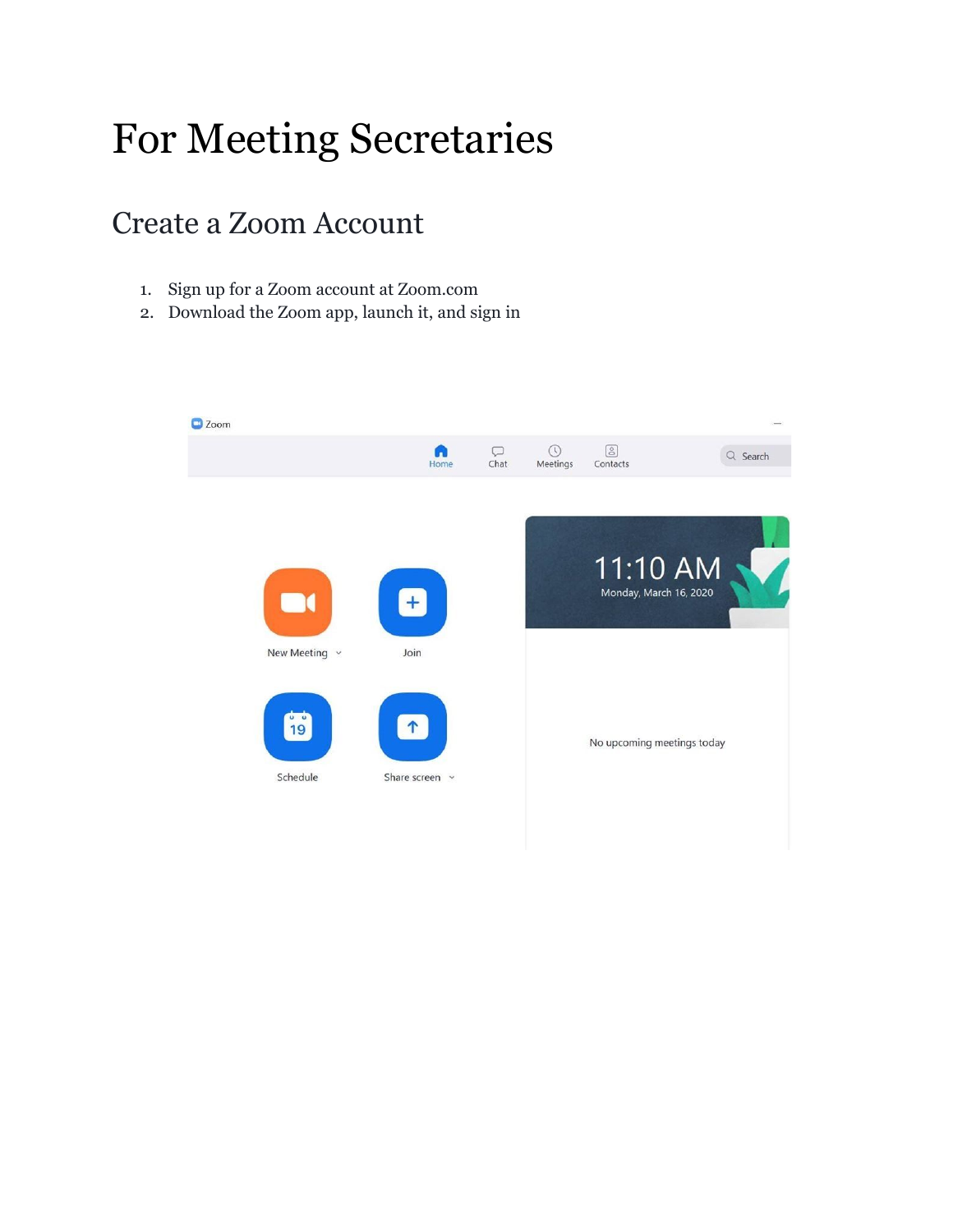# For Meeting Secretaries

### Create a Zoom Account

- 1. Sign up for a Zoom account at Zoom.com
- 2. Download the Zoom app, launch it, and sign in

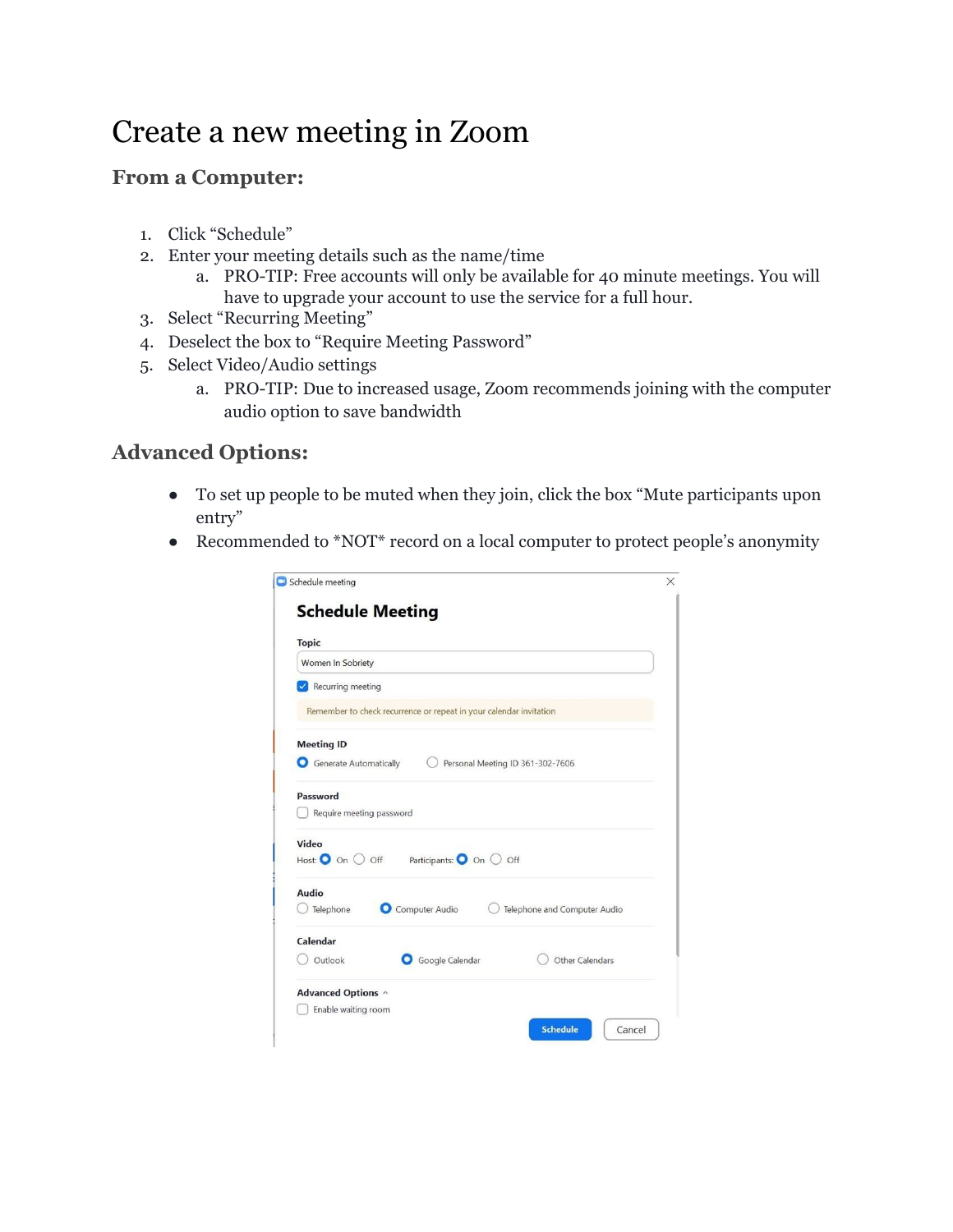### Create a new meeting in Zoom

### **From a Computer:**

- 1. Click "Schedule"
- 2. Enter your meeting details such as the name/time
	- a. PRO-TIP: Free accounts will only be available for 40 minute meetings. You will have to upgrade your account to use the service for a full hour.
- 3. Select "Recurring Meeting"
- 4. Deselect the box to "Require Meeting Password"
- 5. Select Video/Audio settings
	- a. PRO-TIP: Due to increased usage, Zoom recommends joining with the computer audio option to save bandwidth

### **Advanced Options:**

- To set up people to be muted when they join, click the box "Mute participants upon entry"
- Recommended to \*NOT\* record on a local computer to protect people's anonymity

| <b>Topic</b>             |                                                                    |                                  |  |
|--------------------------|--------------------------------------------------------------------|----------------------------------|--|
| Women In Sobriety        |                                                                    |                                  |  |
| Recurring meeting        |                                                                    |                                  |  |
|                          | Remember to check recurrence or repeat in your calendar invitation |                                  |  |
| <b>Meeting ID</b>        |                                                                    |                                  |  |
| Generate Automatically   |                                                                    | Personal Meeting ID 361-302-7606 |  |
| Password                 |                                                                    |                                  |  |
| Require meeting password |                                                                    |                                  |  |
| Video                    |                                                                    |                                  |  |
| Host: O On O Off         | Participants: O On O Off                                           |                                  |  |
| Audio                    |                                                                    |                                  |  |
| Telephone                | Computer Audio                                                     | Telephone and Computer Audio     |  |
| Calendar                 |                                                                    |                                  |  |
| Outlook                  | Google Calendar                                                    | Other Calendars                  |  |
|                          |                                                                    |                                  |  |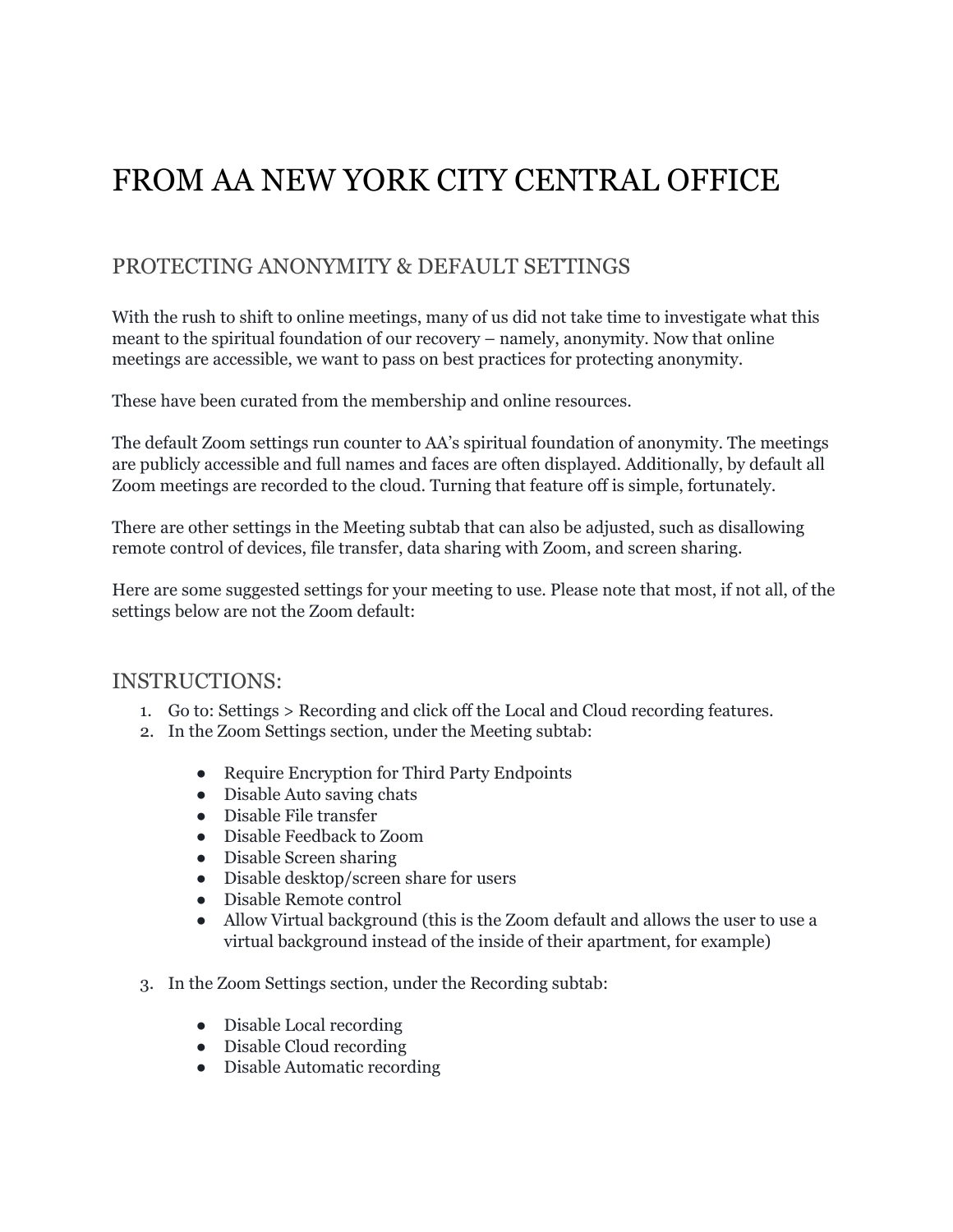### FROM AA NEW YORK CITY CENTRAL OFFICE

### PROTECTING ANONYMITY & DEFAULT SETTINGS

With the rush to shift to online meetings, many of us did not take time to investigate what this meant to the spiritual foundation of our recovery – namely, anonymity. Now that online meetings are accessible, we want to pass on best practices for protecting anonymity.

These have been curated from the membership and online resources.

The default Zoom settings run counter to AA's spiritual foundation of anonymity. The meetings are publicly accessible and full names and faces are often displayed. Additionally, by default all Zoom meetings are recorded to the cloud. Turning that feature off is simple, fortunately.

There are other settings in the Meeting subtab that can also be adjusted, such as disallowing remote control of devices, file transfer, data sharing with Zoom, and screen sharing.

Here are some suggested settings for your meeting to use. Please note that most, if not all, of the settings below are not the Zoom default:

#### INSTRUCTIONS:

- 1. Go to: Settings > Recording and click off the Local and Cloud recording features.
- 2. In the Zoom Settings section, under the Meeting subtab:
	- Require Encryption for Third Party Endpoints
	- Disable Auto saving chats
	- Disable File transfer
	- Disable Feedback to Zoom
	- Disable Screen sharing
	- Disable desktop/screen share for users
	- Disable Remote control
	- Allow Virtual background (this is the Zoom default and allows the user to use a virtual background instead of the inside of their apartment, for example)
- 3. In the Zoom Settings section, under the Recording subtab:
	- Disable Local recording
	- Disable Cloud recording
	- Disable Automatic recording